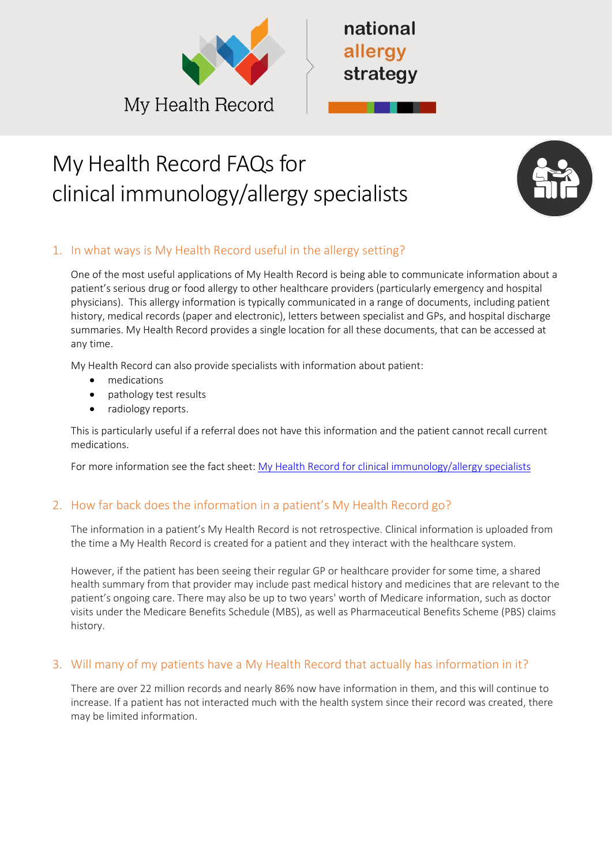



# My Health Record FAQs for clinical immunology/allergy specialists



# 1. In what ways is My Health Record useful in the allergy setting?

One of the most useful applications of My Health Record is being able to communicate information about a patient's serious drug or food allergy to other healthcare providers (particularly emergency and hospital physicians). This allergy information is typically communicated in a range of documents, including patient history, medical records (paper and electronic), letters between specialist and GPs, and hospital discharge summaries. My Health Record provides a single location for all these documents, that can be accessed at any time.

My Health Record can also provide specialists with information about patient:

- medications
- pathology test results
- radiology reports.

This is particularly useful if a referral does not have this information and the patient cannot recall current medications.

For more information see the fact sheet: [My Health Record for clinical immunology/allergy specialists](https://nationalallergystrategy.org.au/images/mhr/MHR_Factsheet_for_Clinical_Immunology_Allergy_specialists_FINAL.pdf)

## 2. How far back does the information in a patient's My Health Record go?

The information in a patient's My Health Record is not retrospective. Clinical information is uploaded from the time a My Health Record is created for a patient and they interact with the healthcare system.

However, if the patient has been seeing their regular GP or healthcare provider for some time, a shared health summary from that provider may include past medical history and medicines that are relevant to the patient's ongoing care. There may also be up to two years' worth of Medicare information, such as doctor visits under the Medicare Benefits Schedule (MBS), as well as Pharmaceutical Benefits Scheme (PBS) claims history.

## 3. Will many of my patients have a My Health Record that actually has information in it?

There are over 22 million records and nearly 86% now have information in them, and this will continue to increase. If a patient has not interacted much with the health system since their record was created, there may be limited information.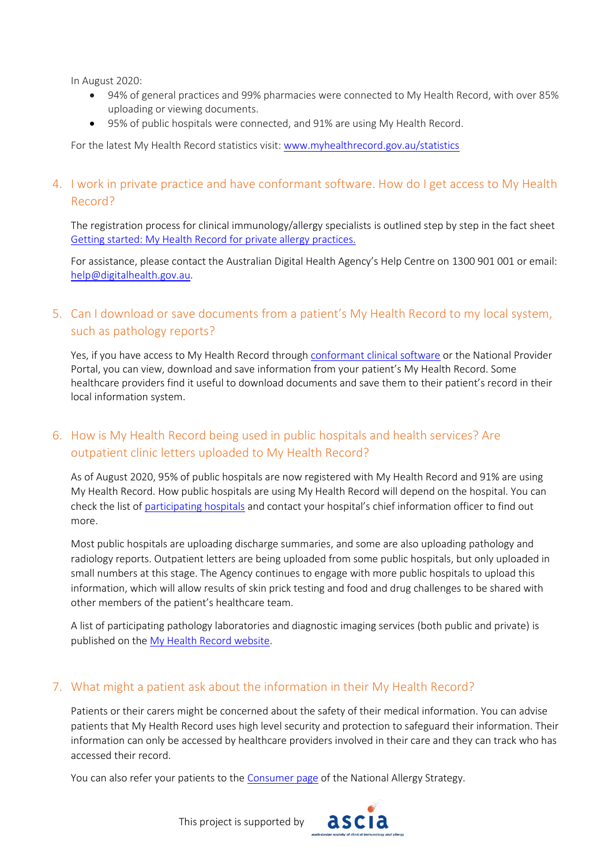In August 2020:

- 94% of general practices and 99% pharmacies were connected to My Health Record, with over 85% uploading or viewing documents.
- 95% of public hospitals were connected, and 91% are using My Health Record.

For the latest My Health Record statistics visit: [www.myhealthrecord.gov.au/statistics](http://www.myhealthrecord.gov.au/statistics)

#### 4. I work in private practice and have conformant software. How do I get access to My Health Record?

The registration process for clinical immunology/allergy specialists is outlined step by step in the fact sheet [Getting started: My Health Record for private allergy practices.](https://nationalallergystrategy.org.au/images/mhr/MHR_Getting_started_for_Clinical_Immunology_and_Allergy_specialists_FINAL_160620.pdf)

For assistance, please contact the Australian Digital Health Agency's Help Centre on 1300 901 001 or email: [help@digitalhealth.gov.au.](mailto:help@digitalhealth.gov.au)

## 5. Can I download or save documents from a patient's My Health Record to my local system, such as pathology reports?

Yes, if you have access to My Health Record through [conformant clinical software](https://www.myhealthrecord.gov.au/for-healthcare-professionals/conformant-clinical-software-products) or the National Provider Portal, you can view, download and save information from your patient's My Health Record. Some healthcare providers find it useful to download documents and save them to their patient's record in their local information system.

## 6. How is My Health Record being used in public hospitals and health services? Are outpatient clinic letters uploaded to My Health Record?

As of August 2020, 95% of public hospitals are now registered with My Health Record and 91% are using My Health Record. How public hospitals are using My Health Record will depend on the hospital. You can check the list of [participating hospitals](https://www.myhealthrecord.gov.au/about/who-is-using-digital-health/public-hospitals-and-health-services-connected-my-health-record) and contact your hospital's chief information officer to find out more.

Most public hospitals are uploading discharge summaries, and some are also uploading pathology and radiology reports. Outpatient letters are being uploaded from some public hospitals, but only uploaded in small numbers at this stage. The Agency continues to engage with more public hospitals to upload this information, which will allow results of skin prick testing and food and drug challenges to be shared with other members of the patient's healthcare team.

A list of participating pathology laboratories and diagnostic imaging services (both public and private) is published on the [My Health Record website.](https://www.myhealthrecord.gov.au/about/who-is-using-digital-health/diagnostic-imaging-and-pathology-providers-uploading-my-health)

## 7. What might a patient ask about the information in their My Health Record?

Patients or their carers might be concerned about the safety of their medical information. You can advise patients that My Health Record uses high level security and protection to safeguard their information. Their information can only be accessed by healthcare providers involved in their care and they can track who has accessed their record.

ascia

You can also refer your patients to th[e Consumer page](https://nationalallergystrategy.org.au/projects/australian-digital-health-agency/consumers) of the National Allergy Strategy.

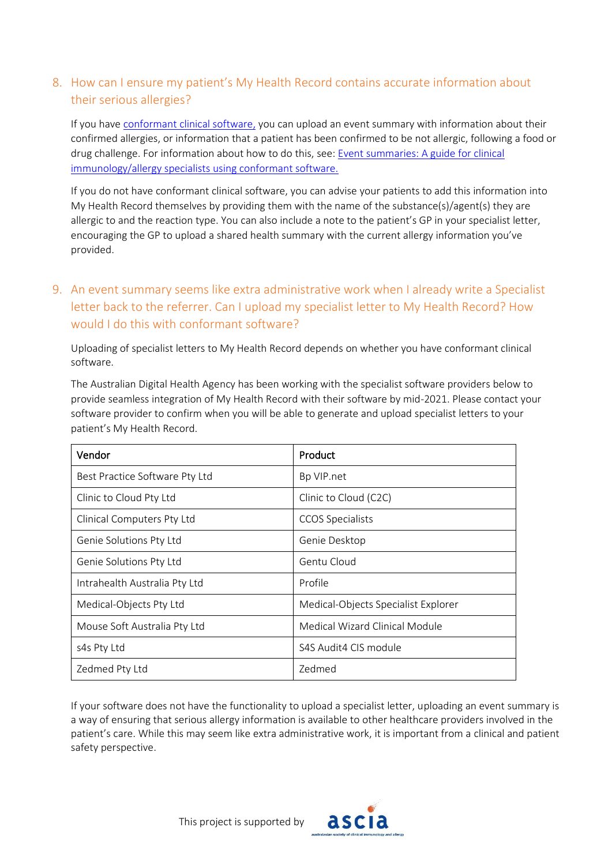## 8. How can I ensure my patient's My Health Record contains accurate information about their serious allergies?

If you have [conformant clinical software,](https://www.myhealthrecord.gov.au/for-healthcare-professionals/conformant-clinical-software-products) you can upload an event summary with information about their confirmed allergies, or information that a patient has been confirmed to be not allergic, following a food or drug challenge. For information about how to do this, see[: Event summaries: A guide for clinical](https://nationalallergystrategy.org.au/images/mhr/ASCIA_Uploading_an_Event_Summary_fact_sheet_FINAL_150620_V2.pdf)  [immunology/allergy specialists using conformant software.](https://nationalallergystrategy.org.au/images/mhr/ASCIA_Uploading_an_Event_Summary_fact_sheet_FINAL_150620_V2.pdf)

If you do not have conformant clinical software, you can advise your patients to add this information into My Health Record themselves by providing them with the name of the substance(s)/agent(s) they are allergic to and the reaction type. You can also include a note to the patient's GP in your specialist letter, encouraging the GP to upload a shared health summary with the current allergy information you've provided.

# 9. An event summary seems like extra administrative work when I already write a Specialist letter back to the referrer. Can I upload my specialist letter to My Health Record? How would I do this with conformant software?

Uploading of specialist letters to My Health Record depends on whether you have conformant clinical software.

The Australian Digital Health Agency has been working with the specialist software providers below to provide seamless integration of My Health Record with their software by mid-2021. Please contact your software provider to confirm when you will be able to generate and upload specialist letters to your patient's My Health Record.

| Vendor                         | Product                             |
|--------------------------------|-------------------------------------|
| Best Practice Software Pty Ltd | Bp VIP.net                          |
| Clinic to Cloud Pty Ltd        | Clinic to Cloud (C2C)               |
| Clinical Computers Pty Ltd     | <b>CCOS Specialists</b>             |
| Genie Solutions Pty Ltd        | Genie Desktop                       |
| Genie Solutions Pty Ltd        | Gentu Cloud                         |
| Intrahealth Australia Pty Ltd  | Profile                             |
| Medical-Objects Pty Ltd        | Medical-Objects Specialist Explorer |
| Mouse Soft Australia Pty Ltd   | Medical Wizard Clinical Module      |
| s4s Pty Ltd                    | S4S Audit4 CIS module               |
| Zedmed Pty Ltd                 | Zedmed                              |

If your software does not have the functionality to upload a specialist letter, uploading an event summary is a way of ensuring that serious allergy information is available to other healthcare providers involved in the patient's care. While this may seem like extra administrative work, it is important from a clinical and patient safety perspective.



This project is supported by